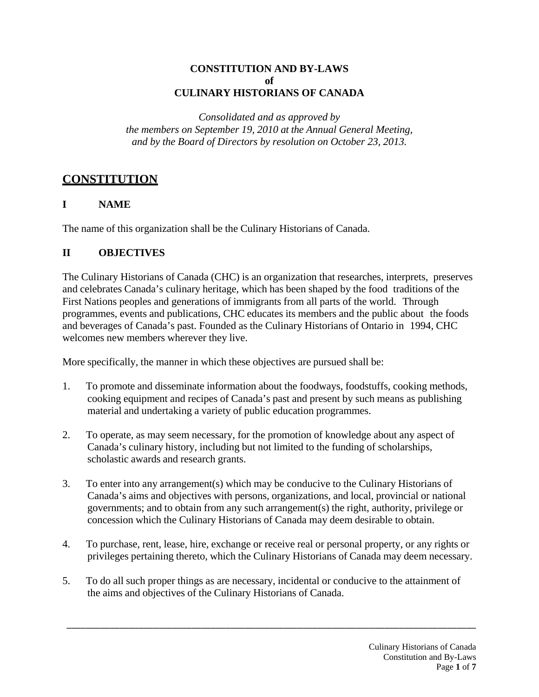### **CONSTITUTION AND BY-LAWS of CULINARY HISTORIANS OF CANADA**

*Consolidated and as approved by the members on September 19, 2010 at the Annual General Meeting, and by the Board of Directors by resolution on October 23, 2013.*

# **CONSTITUTION**

### **I NAME**

The name of this organization shall be the Culinary Historians of Canada.

### **II OBJECTIVES**

The Culinary Historians of Canada (CHC) is an organization that researches, interprets, preserves and celebrates Canada's culinary heritage, which has been shaped by the food traditions of the First Nations peoples and generations of immigrants from all parts of the world. Through programmes, events and publications, CHC educates its members and the public about the foods and beverages of Canada's past. Founded as the Culinary Historians of Ontario in 1994, CHC welcomes new members wherever they live.

More specifically, the manner in which these objectives are pursued shall be:

- 1. To promote and disseminate information about the foodways, foodstuffs, cooking methods, cooking equipment and recipes of Canada's past and present by such means as publishing material and undertaking a variety of public education programmes.
- 2. To operate, as may seem necessary, for the promotion of knowledge about any aspect of Canada's culinary history, including but not limited to the funding of scholarships, scholastic awards and research grants.
- 3. To enter into any arrangement(s) which may be conducive to the Culinary Historians of Canada's aims and objectives with persons, organizations, and local, provincial or national governments; and to obtain from any such arrangement(s) the right, authority, privilege or concession which the Culinary Historians of Canada may deem desirable to obtain.
- 4. To purchase, rent, lease, hire, exchange or receive real or personal property, or any rights or privileges pertaining thereto, which the Culinary Historians of Canada may deem necessary.
- 5. To do all such proper things as are necessary, incidental or conducive to the attainment of the aims and objectives of the Culinary Historians of Canada.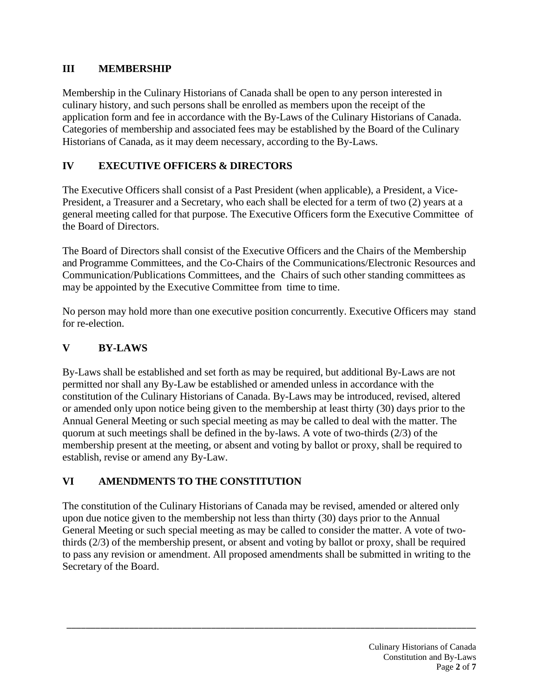### **III MEMBERSHIP**

Membership in the Culinary Historians of Canada shall be open to any person interested in culinary history, and such persons shall be enrolled as members upon the receipt of the application form and fee in accordance with the By-Laws of the Culinary Historians of Canada. Categories of membership and associated fees may be established by the Board of the Culinary Historians of Canada, as it may deem necessary, according to the By-Laws.

### **IV EXECUTIVE OFFICERS & DIRECTORS**

The Executive Officers shall consist of a Past President (when applicable), a President, a Vice-President, a Treasurer and a Secretary, who each shall be elected for a term of two (2) years at a general meeting called for that purpose. The Executive Officers form the Executive Committee of the Board of Directors.

The Board of Directors shall consist of the Executive Officers and the Chairs of the Membership and Programme Committees, and the Co-Chairs of the Communications/Electronic Resources and Communication/Publications Committees, and the Chairs of such other standing committees as may be appointed by the Executive Committee from time to time.

No person may hold more than one executive position concurrently. Executive Officers may stand for re-election.

## **V BY-LAWS**

By-Laws shall be established and set forth as may be required, but additional By-Laws are not permitted nor shall any By-Law be established or amended unless in accordance with the constitution of the Culinary Historians of Canada. By-Laws may be introduced, revised, altered or amended only upon notice being given to the membership at least thirty (30) days prior to the Annual General Meeting or such special meeting as may be called to deal with the matter. The quorum at such meetings shall be defined in the by-laws. A vote of two-thirds (2/3) of the membership present at the meeting, or absent and voting by ballot or proxy, shall be required to establish, revise or amend any By-Law.

# **VI AMENDMENTS TO THE CONSTITUTION**

The constitution of the Culinary Historians of Canada may be revised, amended or altered only upon due notice given to the membership not less than thirty (30) days prior to the Annual General Meeting or such special meeting as may be called to consider the matter. A vote of twothirds (2/3) of the membership present, or absent and voting by ballot or proxy, shall be required to pass any revision or amendment. All proposed amendments shall be submitted in writing to the Secretary of the Board.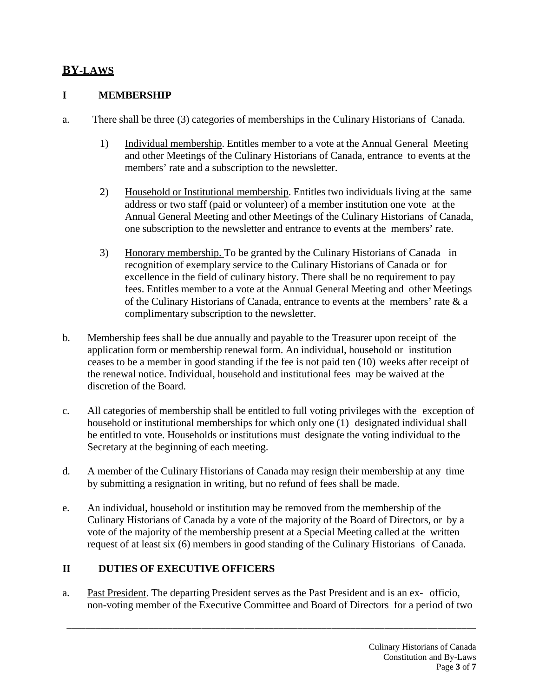# **BY-LAWS**

#### **I MEMBERSHIP**

- a. There shall be three (3) categories of memberships in the Culinary Historians of Canada.
	- 1) Individual membership. Entitles member to a vote at the Annual General Meeting and other Meetings of the Culinary Historians of Canada, entrance to events at the members' rate and a subscription to the newsletter.
	- 2) Household or Institutional membership. Entitles two individuals living at the same address or two staff (paid or volunteer) of a member institution one vote at the Annual General Meeting and other Meetings of the Culinary Historians of Canada, one subscription to the newsletter and entrance to events at the members' rate.
	- 3) Honorary membership. To be granted by the Culinary Historians of Canada in recognition of exemplary service to the Culinary Historians of Canada or for excellence in the field of culinary history. There shall be no requirement to pay fees. Entitles member to a vote at the Annual General Meeting and other Meetings of the Culinary Historians of Canada, entrance to events at the members' rate & a complimentary subscription to the newsletter.
- b. Membership fees shall be due annually and payable to the Treasurer upon receipt of the application form or membership renewal form. An individual, household or institution ceases to be a member in good standing if the fee is not paid ten (10) weeks after receipt of the renewal notice. Individual, household and institutional fees may be waived at the discretion of the Board.
- c. All categories of membership shall be entitled to full voting privileges with the exception of household or institutional memberships for which only one (1) designated individual shall be entitled to vote. Households or institutions must designate the voting individual to the Secretary at the beginning of each meeting.
- d. A member of the Culinary Historians of Canada may resign their membership at any time by submitting a resignation in writing, but no refund of fees shall be made.
- e. An individual, household or institution may be removed from the membership of the Culinary Historians of Canada by a vote of the majority of the Board of Directors, or by a vote of the majority of the membership present at a Special Meeting called at the written request of at least six (6) members in good standing of the Culinary Historians of Canada.

### **II DUTIES OF EXECUTIVE OFFICERS**

a. Past President. The departing President serves as the Past President and is an ex- officio, non-voting member of the Executive Committee and Board of Directors for a period of two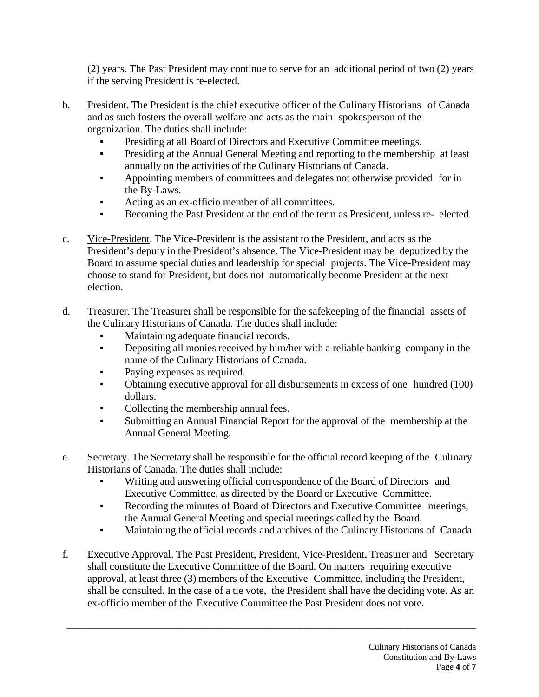(2) years. The Past President may continue to serve for an additional period of two (2) years if the serving President is re-elected.

- b. President. The President is the chief executive officer of the Culinary Historians of Canada and as such fosters the overall welfare and acts as the main spokesperson of the organization. The duties shall include:
	- Presiding at all Board of Directors and Executive Committee meetings.
	- Presiding at the Annual General Meeting and reporting to the membership at least annually on the activities of the Culinary Historians of Canada.
	- Appointing members of committees and delegates not otherwise provided for in the By-Laws.
	- Acting as an ex-officio member of all committees.
	- Becoming the Past President at the end of the term as President, unless re- elected.
- c. Vice-President. The Vice-President is the assistant to the President, and acts as the President's deputy in the President's absence. The Vice-President may be deputized by the Board to assume special duties and leadership for special projects. The Vice-President may choose to stand for President, but does not automatically become President at the next election.
- d. Treasurer. The Treasurer shall be responsible for the safekeeping of the financial assets of the Culinary Historians of Canada. The duties shall include:
	- Maintaining adequate financial records.
	- Depositing all monies received by him/her with a reliable banking company in the name of the Culinary Historians of Canada.
	- Paying expenses as required.
	- Obtaining executive approval for all disbursements in excess of one hundred (100) dollars.
	- Collecting the membership annual fees.
	- Submitting an Annual Financial Report for the approval of the membership at the Annual General Meeting.
- e. Secretary. The Secretary shall be responsible for the official record keeping of the Culinary Historians of Canada. The duties shall include:
	- Writing and answering official correspondence of the Board of Directors and Executive Committee, as directed by the Board or Executive Committee.
	- Recording the minutes of Board of Directors and Executive Committee meetings, the Annual General Meeting and special meetings called by the Board.
	- Maintaining the official records and archives of the Culinary Historians of Canada.
- f. Executive Approval. The Past President, President, Vice-President, Treasurer and Secretary shall constitute the Executive Committee of the Board. On matters requiring executive approval, at least three (3) members of the Executive Committee, including the President, shall be consulted. In the case of a tie vote, the President shall have the deciding vote. As an ex-officio member of the Executive Committee the Past President does not vote.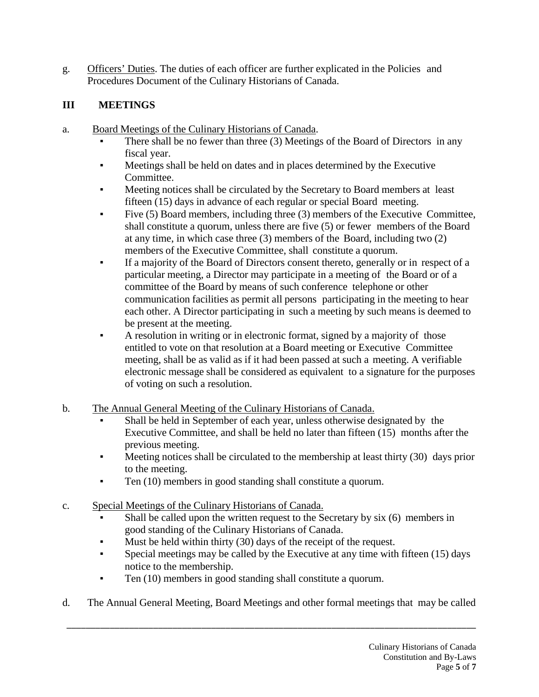g. Officers' Duties. The duties of each officer are further explicated in the Policies and Procedures Document of the Culinary Historians of Canada.

## **III MEETINGS**

- a. Board Meetings of the Culinary Historians of Canada.
	- There shall be no fewer than three  $(3)$  Meetings of the Board of Directors in any fiscal year.
	- Meetings shall be held on dates and in places determined by the Executive Committee.
	- Meeting notices shall be circulated by the Secretary to Board members at least fifteen (15) days in advance of each regular or special Board meeting.
	- Five (5) Board members, including three (3) members of the Executive Committee, shall constitute a quorum, unless there are five (5) or fewer members of the Board at any time, in which case three (3) members of the Board, including two (2) members of the Executive Committee, shall constitute a quorum.
	- If a majority of the Board of Directors consent thereto, generally or in respect of a particular meeting, a Director may participate in a meeting of the Board or of a committee of the Board by means of such conference telephone or other communication facilities as permit all persons participating in the meeting to hear each other. A Director participating in such a meeting by such means is deemed to be present at the meeting.
	- A resolution in writing or in electronic format, signed by a majority of those entitled to vote on that resolution at a Board meeting or Executive Committee meeting, shall be as valid as if it had been passed at such a meeting. A verifiable electronic message shall be considered as equivalent to a signature for the purposes of voting on such a resolution.
- b. The Annual General Meeting of the Culinary Historians of Canada.
	- Shall be held in September of each year, unless otherwise designated by the Executive Committee, and shall be held no later than fifteen (15) months after the previous meeting.
	- Meeting notices shall be circulated to the membership at least thirty  $(30)$  days prior to the meeting.
	- Ten (10) members in good standing shall constitute a quorum.
- c. Special Meetings of the Culinary Historians of Canada.
	- Shall be called upon the written request to the Secretary by  $six(6)$  members in good standing of the Culinary Historians of Canada.
	- Must be held within thirty  $(30)$  days of the receipt of the request.
	- Special meetings may be called by the Executive at any time with fifteen (15) days notice to the membership.
	- Ten (10) members in good standing shall constitute a quorum.
- d. The Annual General Meeting, Board Meetings and other formal meetings that may be called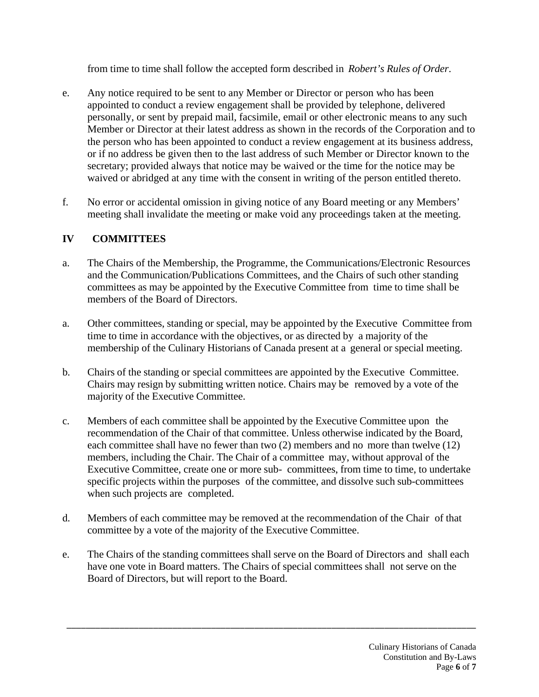from time to time shall follow the accepted form described in *Robert's Rules of Order*.

- e. Any notice required to be sent to any Member or Director or person who has been appointed to conduct a review engagement shall be provided by telephone, delivered personally, or sent by prepaid mail, facsimile, email or other electronic means to any such Member or Director at their latest address as shown in the records of the Corporation and to the person who has been appointed to conduct a review engagement at its business address, or if no address be given then to the last address of such Member or Director known to the secretary; provided always that notice may be waived or the time for the notice may be waived or abridged at any time with the consent in writing of the person entitled thereto.
- f. No error or accidental omission in giving notice of any Board meeting or any Members' meeting shall invalidate the meeting or make void any proceedings taken at the meeting.

### **IV COMMITTEES**

- a. The Chairs of the Membership, the Programme, the Communications/Electronic Resources and the Communication/Publications Committees, and the Chairs of such other standing committees as may be appointed by the Executive Committee from time to time shall be members of the Board of Directors.
- a. Other committees, standing or special, may be appointed by the Executive Committee from time to time in accordance with the objectives, or as directed by a majority of the membership of the Culinary Historians of Canada present at a general or special meeting.
- b. Chairs of the standing or special committees are appointed by the Executive Committee. Chairs may resign by submitting written notice. Chairs may be removed by a vote of the majority of the Executive Committee.
- c. Members of each committee shall be appointed by the Executive Committee upon the recommendation of the Chair of that committee. Unless otherwise indicated by the Board, each committee shall have no fewer than two (2) members and no more than twelve (12) members, including the Chair. The Chair of a committee may, without approval of the Executive Committee, create one or more sub- committees, from time to time, to undertake specific projects within the purposes of the committee, and dissolve such sub-committees when such projects are completed.
- d. Members of each committee may be removed at the recommendation of the Chair of that committee by a vote of the majority of the Executive Committee.
- e. The Chairs of the standing committees shall serve on the Board of Directors and shall each have one vote in Board matters. The Chairs of special committees shall not serve on the Board of Directors, but will report to the Board.